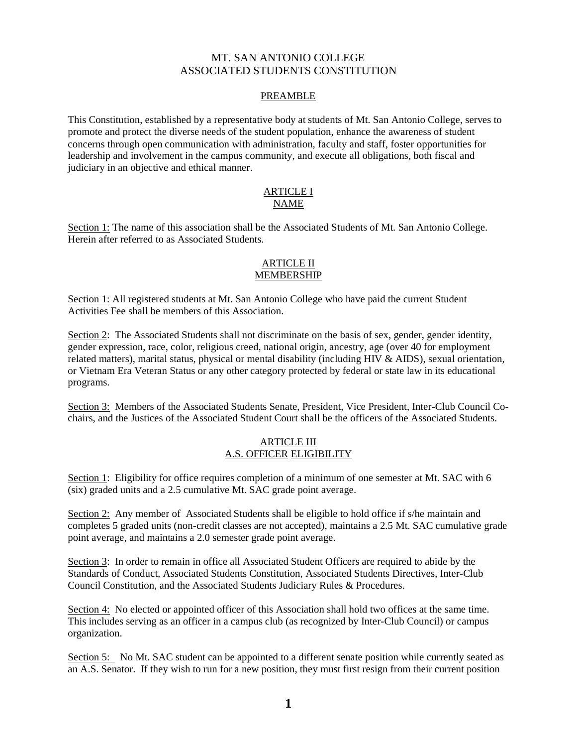# MT. SAN ANTONIO COLLEGE ASSOCIATED STUDENTS CONSTITUTION

## PREAMBLE

This Constitution, established by a representative body at students of Mt. San Antonio College, serves to promote and protect the diverse needs of the student population, enhance the awareness of student concerns through open communication with administration, faculty and staff, foster opportunities for leadership and involvement in the campus community, and execute all obligations, both fiscal and judiciary in an objective and ethical manner.

### ARTICLE I NAME

Section 1: The name of this association shall be the Associated Students of Mt. San Antonio College. Herein after referred to as Associated Students.

## ARTICLE II MEMBERSHIP

Section 1: All registered students at Mt. San Antonio College who have paid the current Student Activities Fee shall be members of this Association.

Section 2: The Associated Students shall not discriminate on the basis of sex, gender, gender identity, or Vietnam Era Veteran Status or any other category protected by federal or state law in its educational gender expression, race, color, religious creed, national origin, ancestry, age (over 40 for employment related matters), marital status, physical or mental disability (including HIV & AIDS), sexual orientation, programs.

Section 3: Members of the Associated Students Senate, President, Vice President, Inter-Club Council Cochairs, and the Justices of the Associated Student Court shall be the officers of the Associated Students.

## ARTICLE III A.S. OFFICER ELIGIBILITY

Section 1: Eligibility for office requires completion of a minimum of one semester at Mt. SAC with 6 (six) graded units and a 2.5 cumulative Mt. SAC grade point average.

Section 2: Any member of Associated Students shall be eligible to hold office if s/he maintain and completes 5 graded units (non-credit classes are not accepted), maintains a 2.5 Mt. SAC cumulative grade point average, and maintains a 2.0 semester grade point average.

Section 3: In order to remain in office all Associated Student Officers are required to abide by the Standards of Conduct, Associated Students Constitution, Associated Students Directives, Inter-Club Council Constitution, and the Associated Students Judiciary Rules & Procedures.

Section 4: No elected or appointed officer of this Association shall hold two offices at the same time. This includes serving as an officer in a campus club (as recognized by Inter-Club Council) or campus organization.

Section 5: No Mt. SAC student can be appointed to a different senate position while currently seated as an A.S. Senator. If they wish to run for a new position, they must first resign from their current position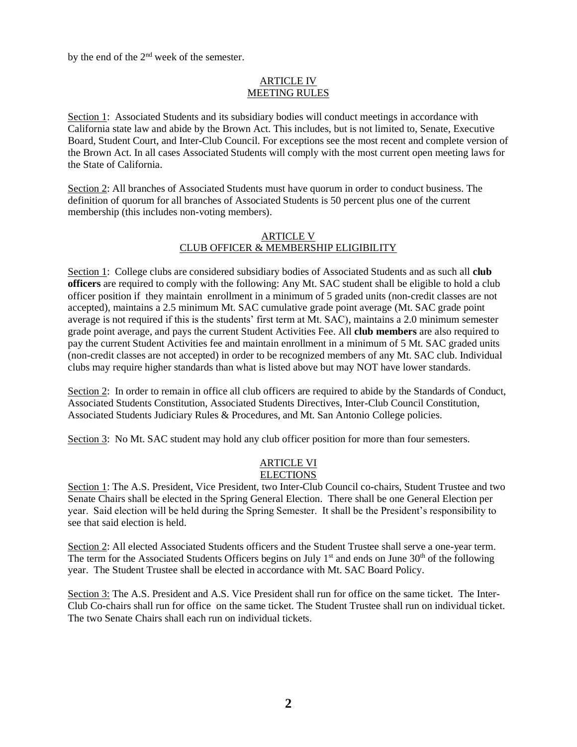by the end of the 2nd week of the semester.

## ARTICLE IV MEETING RULES

Section 1: Associated Students and its subsidiary bodies will conduct meetings in accordance with California state law and abide by the Brown Act. This includes, but is not limited to, Senate, Executive Board, Student Court, and Inter-Club Council. For exceptions see the most recent and complete version of the Brown Act. In all cases Associated Students will comply with the most current open meeting laws for the State of California.

Section 2: All branches of Associated Students must have quorum in order to conduct business. The definition of quorum for all branches of Associated Students is 50 percent plus one of the current membership (this includes non-voting members).

### ARTICLE V CLUB OFFICER & MEMBERSHIP ELIGIBILITY

 Section 1: College clubs are considered subsidiary bodies of Associated Students and as such all **club officers** are required to comply with the following: Any Mt. SAC student shall be eligible to hold a club officer position if they maintain enrollment in a minimum of 5 graded units (non-credit classes are not accepted), maintains a 2.5 minimum Mt. SAC cumulative grade point average (Mt. SAC grade point average is not required if this is the students' first term at Mt. SAC), maintains a 2.0 minimum semester grade point average, and pays the current Student Activities Fee. All **club members** are also required to pay the current Student Activities fee and maintain enrollment in a minimum of 5 Mt. SAC graded units (non-credit classes are not accepted) in order to be recognized members of any Mt. SAC club. Individual clubs may require higher standards than what is listed above but may NOT have lower standards.

Section 2: In order to remain in office all club officers are required to abide by the Standards of Conduct, Associated Students Constitution, Associated Students Directives, Inter-Club Council Constitution, Associated Students Judiciary Rules & Procedures, and Mt. San Antonio College policies.

Section 3: No Mt. SAC student may hold any club officer position for more than four semesters.

# ARTICLE VI

**ELECTIONS** 

Section 1: The A.S. President, Vice President, two Inter-Club Council co-chairs, Student Trustee and two Senate Chairs shall be elected in the Spring General Election. There shall be one General Election per year. Said election will be held during the Spring Semester. It shall be the President's responsibility to see that said election is held.

Section 2: All elected Associated Students officers and the Student Trustee shall serve a one-year term. The term for the Associated Students Officers begins on July  $1<sup>st</sup>$  and ends on June  $30<sup>th</sup>$  of the following year. The Student Trustee shall be elected in accordance with Mt. SAC Board Policy.

Section 3: The A.S. President and A.S. Vice President shall run for office on the same ticket. The Inter-Club Co-chairs shall run for office on the same ticket. The Student Trustee shall run on individual ticket. The two Senate Chairs shall each run on individual tickets.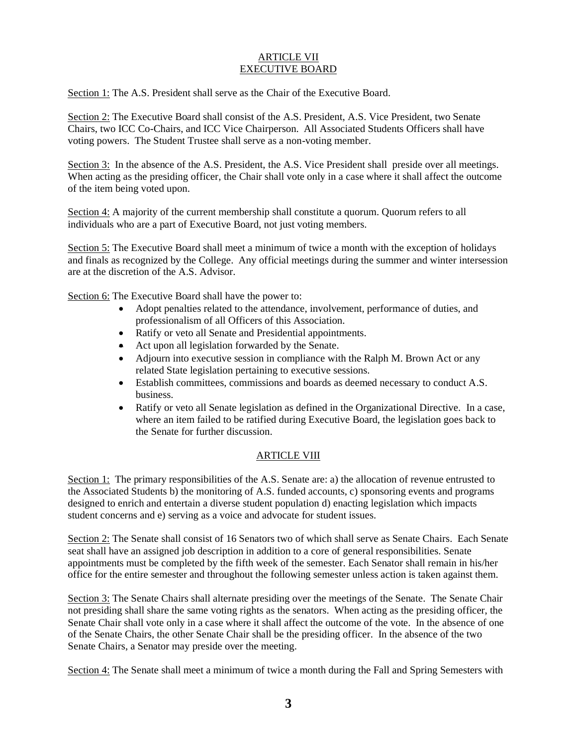## ARTICLE VII EXECUTIVE BOARD

Section 1: The A.S. President shall serve as the Chair of the Executive Board.

Section 2: The Executive Board shall consist of the A.S. President, A.S. Vice President, two Senate Chairs, two ICC Co-Chairs, and ICC Vice Chairperson. All Associated Students Officers shall have voting powers. The Student Trustee shall serve as a non-voting member.

Section 3: In the absence of the A.S. President, the A.S. Vice President shall preside over all meetings. When acting as the presiding officer, the Chair shall vote only in a case where it shall affect the outcome of the item being voted upon.

Section 4: A majority of the current membership shall constitute a quorum. Quorum refers to all individuals who are a part of Executive Board, not just voting members.

Section 5: The Executive Board shall meet a minimum of twice a month with the exception of holidays and finals as recognized by the College. Any official meetings during the summer and winter intersession are at the discretion of the A.S. Advisor.

Section 6: The Executive Board shall have the power to:

- Adopt penalties related to the attendance, involvement, performance of duties, and professionalism of all Officers of this Association.
- Ratify or veto all Senate and Presidential appointments.
- Act upon all legislation forwarded by the Senate.
- Adjourn into executive session in compliance with the Ralph M. Brown Act or any related State legislation pertaining to executive sessions.
- Establish committees, commissions and boards as deemed necessary to conduct A.S. business.
- Ratify or veto all Senate legislation as defined in the Organizational Directive. In a case, where an item failed to be ratified during Executive Board, the legislation goes back to the Senate for further discussion.

# ARTICLE VIII

Section 1: The primary responsibilities of the A.S. Senate are: a) the allocation of revenue entrusted to the Associated Students b) the monitoring of A.S. funded accounts, c) sponsoring events and programs designed to enrich and entertain a diverse student population d) enacting legislation which impacts student concerns and e) serving as a voice and advocate for student issues.

 office for the entire semester and throughout the following semester unless action is taken against them. Section 2: The Senate shall consist of 16 Senators two of which shall serve as Senate Chairs. Each Senate seat shall have an assigned job description in addition to a core of general responsibilities. Senate appointments must be completed by the fifth week of the semester. Each Senator shall remain in his/her

 Senate Chair shall vote only in a case where it shall affect the outcome of the vote. In the absence of one Section 3: The Senate Chairs shall alternate presiding over the meetings of the Senate. The Senate Chair not presiding shall share the same voting rights as the senators. When acting as the presiding officer, the of the Senate Chairs, the other Senate Chair shall be the presiding officer. In the absence of the two Senate Chairs, a Senator may preside over the meeting.

Section 4: The Senate shall meet a minimum of twice a month during the Fall and Spring Semesters with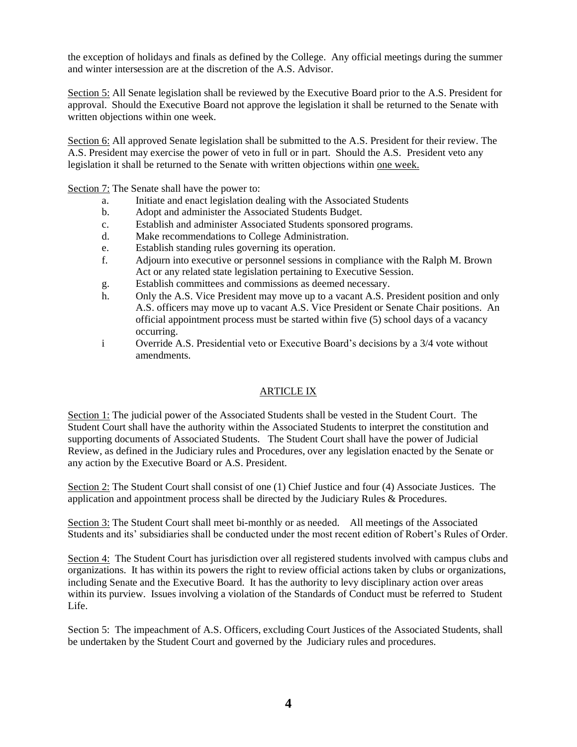the exception of holidays and finals as defined by the College. Any official meetings during the summer and winter intersession are at the discretion of the A.S. Advisor.

Section 5: All Senate legislation shall be reviewed by the Executive Board prior to the A.S. President for approval. Should the Executive Board not approve the legislation it shall be returned to the Senate with written objections within one week.

Section 6: All approved Senate legislation shall be submitted to the A.S. President for their review. The A.S. President may exercise the power of veto in full or in part. Should the A.S. President veto any legislation it shall be returned to the Senate with written objections within one week.

Section 7: The Senate shall have the power to:

- a. Initiate and enact legislation dealing with the Associated Students
- b. Adopt and administer the Associated Students Budget.
- c. Establish and administer Associated Students sponsored programs.
- d. Make recommendations to College Administration.
- e. Establish standing rules governing its operation.
- f. Adjourn into executive or personnel sessions in compliance with the Ralph M. Brown Act or any related state legislation pertaining to Executive Session.
- g. Establish committees and commissions as deemed necessary.
- h. Only the A.S. Vice President may move up to a vacant A.S. President position and only A.S. officers may move up to vacant A.S. Vice President or Senate Chair positions. An official appointment process must be started within five (5) school days of a vacancy occurring.
- i Override A.S. Presidential veto or Executive Board's decisions by a 3/4 vote without amendments.

## ARTICLE IX

Section 1: The judicial power of the Associated Students shall be vested in the Student Court. The Student Court shall have the authority within the Associated Students to interpret the constitution and supporting documents of Associated Students. The Student Court shall have the power of Judicial Review, as defined in the Judiciary rules and Procedures, over any legislation enacted by the Senate or any action by the Executive Board or A.S. President.

Section 2: The Student Court shall consist of one (1) Chief Justice and four (4) Associate Justices. The application and appointment process shall be directed by the Judiciary Rules & Procedures.

Section 3: The Student Court shall meet bi-monthly or as needed. All meetings of the Associated Students and its' subsidiaries shall be conducted under the most recent edition of Robert's Rules of Order.

Section 4: The Student Court has jurisdiction over all registered students involved with campus clubs and organizations. It has within its powers the right to review official actions taken by clubs or organizations, including Senate and the Executive Board. It has the authority to levy disciplinary action over areas within its purview. Issues involving a violation of the Standards of Conduct must be referred to Student Life.

 be undertaken by the Student Court and governed by the Judiciary rules and procedures. Section 5: The impeachment of A.S. Officers, excluding Court Justices of the Associated Students, shall